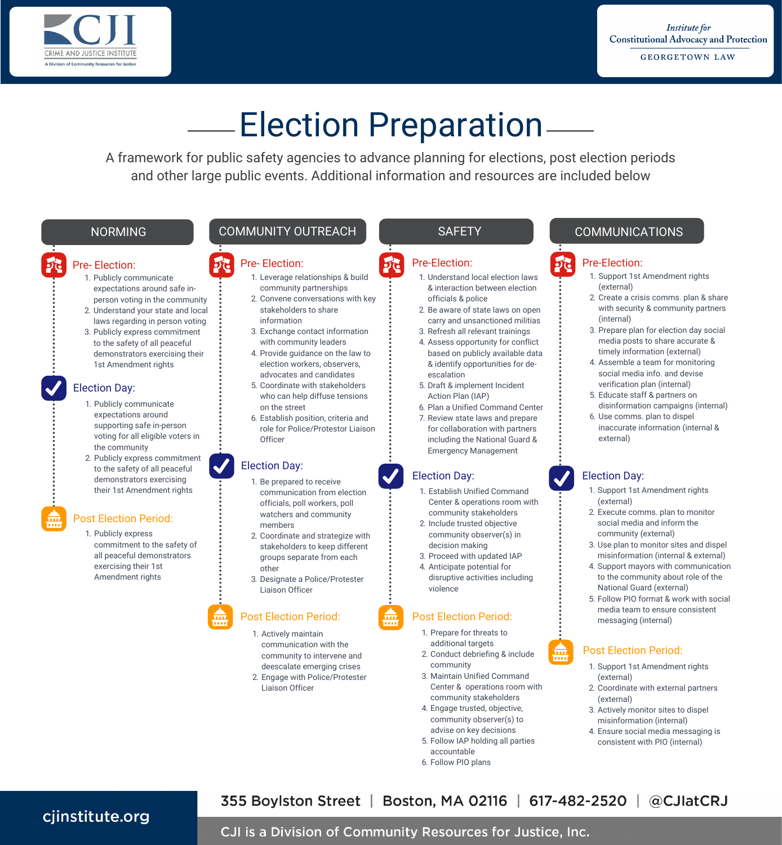

# Election Preparation

A framework for public safety agencies to advance planning for elections, post election periods and other large public events. Additional information and resources are included below

#### Pre- Election:

- 1. Publicly communicate expectations around safe inperson voting in the community
- 2. Understand your state and local laws regarding in person voting
- 3. Publicly express commitment to the safety of all peaceful demonstrators exercising their 1st Amendment rights

#### Election Day:

- 1. Publicly communicate expectations around supporting safe in-person voting for all eligible voters in the community
- 2. Publicly express commitment to the safety of all peaceful demonstrators exercising their 1st Amendment rights

#### Post Election Period:

1. Publicly express commitment to the safety of all peaceful demonstrators exercising their 1st Amendment rights

### NORMING COMMUNITY OUTREACH SAFETY SAFETY COMMUNICATIONS

#### Pre- Election:

- 1. Leverage relationships & build community partnerships
- 2. Convene conversations with key stakeholders to share
- information 3. Exchange contact information with community leaders
- 4. Provide guidance on the law to election workers, observers, advocates and candidates
- 5. Coordinate with stakeholders who can help diffuse tensions on the street
- . Establish position, criteria and role for Police/Protestor Liaison **Officer**

#### Election Day:

- 1. Be prepared to receive communication from election officials, poll workers, poll watchers and community members
- 2. Coordinate and strategize with stakeholders to keep different groups separate from each other
- 3. Designate a Police/Protester Liaison Officer

## Post Election Period: **Post Election Period:**

- 1. Actively maintain
- communication with the community to intervene and deescalate emerging crises
- 2. Engage with Police/Protester Liaison Officer

#### Pre-Election:

- 1. Understand local election laws & interaction between election officials & police
- 2. Be aware of state laws on open
- carry and unsanctioned militias 3. Refresh all relevant trainings
- 4. Assess opportunity for conflict based on publicly available data & identify opportunities for deescalation
- 5. Draft & implement Incident Action Plan (IAP)
- . Plan a Unified Command Center
- 7. Review state laws and prepare for collaboration with partners including the National Guard & Emergency Management

#### Election Day:

- 1. Establish Unified Command Center & operations room with community stakeholders
- 2. Include trusted objective community observer(s) in decision making
- 3. Proceed with updated IAP
- 4. Anticipate potential for disruptive activities including violence

- 1. Prepare for threats to additional targets
- 2. Conduct debriefing & include community
- 3. Maintain Unified Command Center & operations room with community stakeholders
- 4. Engage trusted, objective, community observer(s) to advise on key decisions
- 5. Follow IAP holding all parties accountable
- . Follow PIO plans

#### Pre-Election:

- 1. Support 1st Amendment rights (external)
- 2. Create a crisis comms. plan & share with security & community partners (internal)
- 3. Prepare plan for election day social media posts to share accurate & timely information (external)
- 4. Assemble a team for monitoring social media info. and devise verification plan (internal)
- 5. Educate staff & partners on disinformation campaigns (internal) . Use comms. plan to dispel
- inaccurate information (internal & external)

#### Election Day:

- 1. Support 1st Amendment rights (external)
- 2. Execute comms. plan to monitor social media and inform the community (external)
- 3. Use plan to monitor sites and dispel misinformation (internal & external)
- 4. Support mayors with communication to the community about role of the National Guard (external)
- 5. Follow PIO format & work with social media team to ensure consistent messaging (internal)

### Post Election Period:

- 1. Support 1st Amendment rights (external)
- 2. Coordinate with external partners (external)
- 3. Actively monitor sites to dispel misinformation (internal)
- 4. Ensure social media messaging is consistent with PIO (internal)

355 Boylston Street | Boston, MA 02116 | 617-482-2520 | @CJIatCRJ cjinstitute.org

### CJI is a Division of Community Resources for Justice, Inc.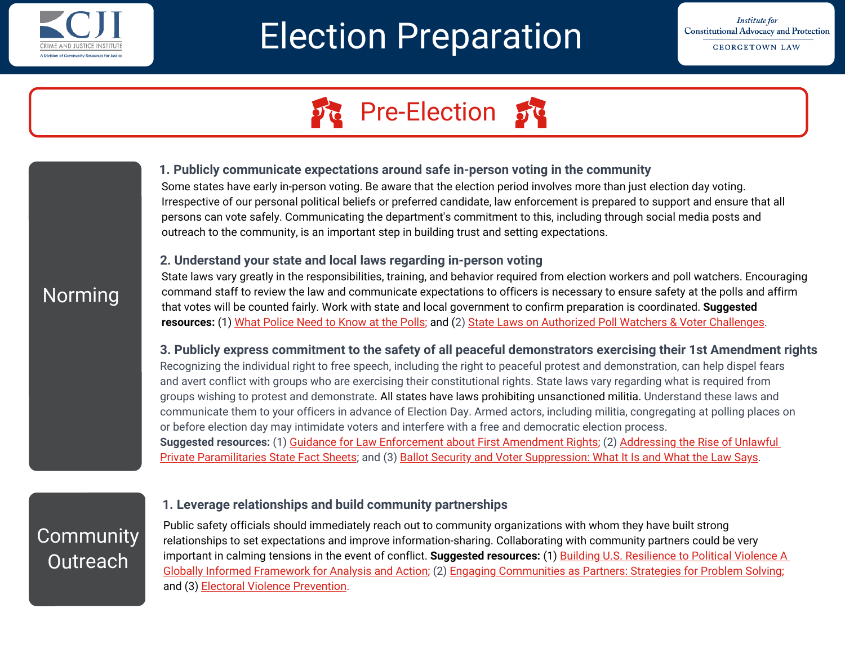

# Election Preparation

**Institute for Constitutional Advocacy and Protection GEORGETOWN LAW** 

# **Pre-Election**

#### **1. Publicly communicate expectations around safe in-person voting in the community**

Some states have early in-person voting. Be aware that the election period involves more than just election day voting. Irrespective of our personal political beliefs or preferred candidate, law enforcement is prepared to support and ensure that all persons can vote safely. Communicating the department's commitment to this, including through social media posts and outreach to the community, is an important step in building trust and setting expectations.

#### **2. Understand your state and local laws regarding in-person voting**

# Norming

State laws vary greatly in the responsibilities, training, and behavior required from election workers and poll watchers. Encouraging command staff to review the law and communicate expectations to officers is necessary to ensure safety at the polls and affirm that votes will be counted fairly. Work with state and local government to confirm preparation is coordinated. **Suggested resources:** (1) [What Police Need to Know at the Polls](https://www.cjinstitute.org/assets/sites/2/2020/10/Voter-Protection-Program-Law-Enforcement-Guidance-for-Election-Day.pdf); and (2) [State Laws on Authorized Poll Watchers & Voter Challenges](https://www.nass.org/resources/2018-election-information/Poll-Watchers-Voter-Challenges).

**3. Publicly express commitment to the safety of all peaceful demonstrators exercising their 1st Amendment rights**  Recognizing the individual right to free speech, including the right to peaceful protest and demonstration, can help dispel fears and avert conflict with groups who are exercising their constitutional rights. State laws vary regarding what is required from groups wishing to protest and demonstrate. All states have laws prohibiting unsanctioned militia. Understand these laws and communicate them to your officers in advance of Election Day. Armed actors, including militia, congregating at polling places on or before election day may intimidate voters and interfere with a free and democratic election process. **Suggested resources:** (1) [Guidance for Law Enforcement about First Amendment Rights](https://www.cjinstitute.org/assets/sites/2/2020/12/Guidance-for-Law-Enforcement-About-First-Amendment-Rights.pdf); (2) Addressing the Rise of Unlawful [Private Paramilitaries State Fact Sheets; and \(3\) Ballot Security and Voter Suppression: What It Is and What the Law Says.](https://www.law.georgetown.edu/icap/our-work/addressing-the-rise-of-unlawful-private-paramilitaries/state-fact-sheets/)

# **Community Outreach**

#### **1. Leverage relationships and build community partnerships**

Public safety officials should immediately reach out to community organizations with whom they have built strong relationships to set expectations and improve information-sharing. Collaborating with community partners could be very important in calming tensions in the event of conflict. **Suggested resources:** (1) Building U.S. Resilience to Political Violence A Globally Informed Framework for Analysis and Action; (2) [Engaging Communities as Partners: Strategies for Problem Solving;](https://static1.squarespace.com/static/5a85f71480bd5e276b1e7f7a/t/5dee85b55704156dcb211946/1575912885982/2019_OverZero_Resilience_Full.pdf)  and (3) [Electoral Violence Prevention.](https://www.tandfonline.com/doi/full/10.1080/13510347.2017.1365841)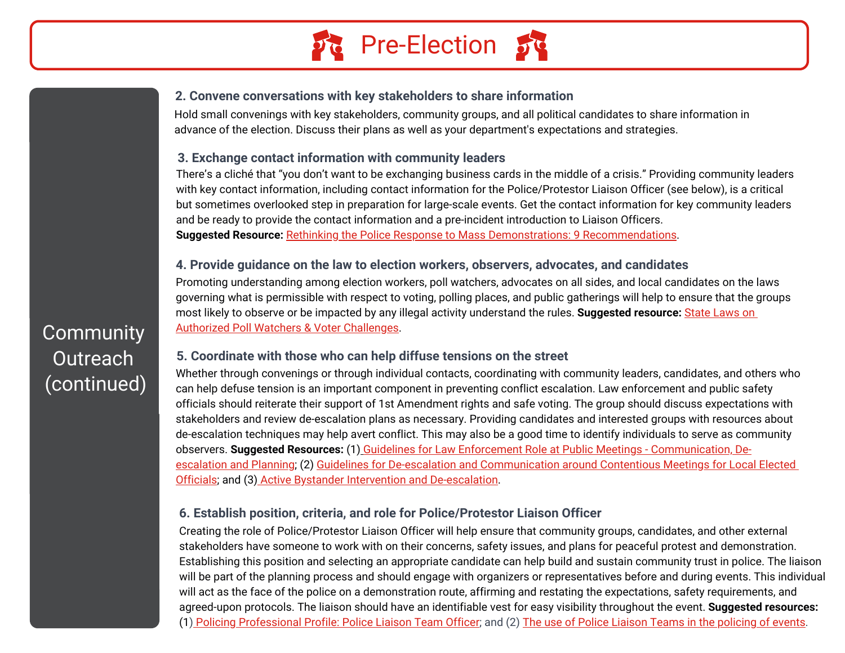

#### **2. Convene conversations with key stakeholders to share information**

Hold small convenings with key stakeholders, community groups, and all political candidates to share information in advance of the election. Discuss their plans as well as your department's expectations and strategies.

#### **3. Exchange contact information with community leaders**

There's a cliché that "you don't want to be exchanging business cards in the middle of a crisis." Providing community leaders with key contact information, including contact information for the Police/Protestor Liaison Officer (see below), is a critical but sometimes overlooked step in preparation for large-scale events. Get the contact information for key community leaders and be ready to provide the contact information and a pre-incident introduction to Liaison Officers. **Suggested Resource:** [Rethinking the Police Response to Mass Demonstrations: 9 Recommendations](https://www.hsdl.org/c/perf-mass-demonstrations/).

#### **4. Provide guidance on the law to election workers, observers, advocates, and candidates**

Promoting understanding among election workers, poll watchers, advocates on all sides, and local candidates on the laws governing what is permissible with respect to voting, polling places, and public gatherings will help to ensure that the groups [most likely to observe or be impacted by any illegal activity understand the rules.](https://www.nass.org/resources/2018-election-information/Poll-Watchers-Voter-Challenges) **Suggested resource:** State Laws on Authorized Poll Watchers & Voter Challenges.

#### **5. Coordinate with those who can help diffuse tensions on the street**

Whether through convenings or through individual contacts, coordinating with community leaders, candidates, and others who can help defuse tension is an important component in preventing conflict escalation. Law enforcement and public safety officials should reiterate their support of 1st Amendment rights and safe voting. The group should discuss expectations with stakeholders and review de-escalation plans as necessary. Providing candidates and interested groups with resources about de-escalation techniques may help avert conflict. This may also be a good time to identify individuals to serve as community observers. **Suggested Resources:** (1) Guidelines for Law Enforcement Role at Public Meetings - Communication, Deescalation and Planning; [\(2\) Guidelines for De-escalation and Communication around Contentious Meetings for Loc](https://www.cjinstitute.org/assets/sites/2/2021/09/3-Law-Enforcement-De-escalation-Guidelines.pdf)[al Elected](https://www.cjinstitute.org/assets/sites/2/2021/09/BDI_ElectedOfficialGuide_De-Escalation.pdf) Officials; and (3) [Active Bystander Intervention and De-escalation](https://www.cjinstitute.org/assets/sites/2/2021/09/1-Draft-Guidelines-for-Volunteers_ABI-and-De-Escalation-DC-Peace-Team.pdf).

#### **6. Establish position, criteria, and role for Police/Protestor Liaison Officer**

Creating the role of Police/Protestor Liaison Officer will help ensure that community groups, candidates, and other external stakeholders have someone to work with on their concerns, safety issues, and plans for peaceful protest and demonstration. Establishing this position and selecting an appropriate candidate can help build and sustain community trust in police. The liaison will be part of the planning process and should engage with organizers or representatives before and during events. This individual will act as the face of the police on a demonstration route, affirming and restating the expectations, safety requirements, and agreed-upon protocols. The liaison should have an identifiable vest for easy visibility throughout the event. **Suggested resources:** (1) [Policing Professional Profile: Police Liaison Team Officer](https://d17wy4t6ps30xx.cloudfront.net/production/uploads/2018/06/OPS-PO-SD-Police-Liaison-Team-Officer-v1.0.pdf); and (2) [The use of Police Liaison Teams in the policing of events](http://library.college.police.uk/docs/college-of-policing/Use-of-police-liaison-teams-2015.pdf).

# **Community Outreach** (continued)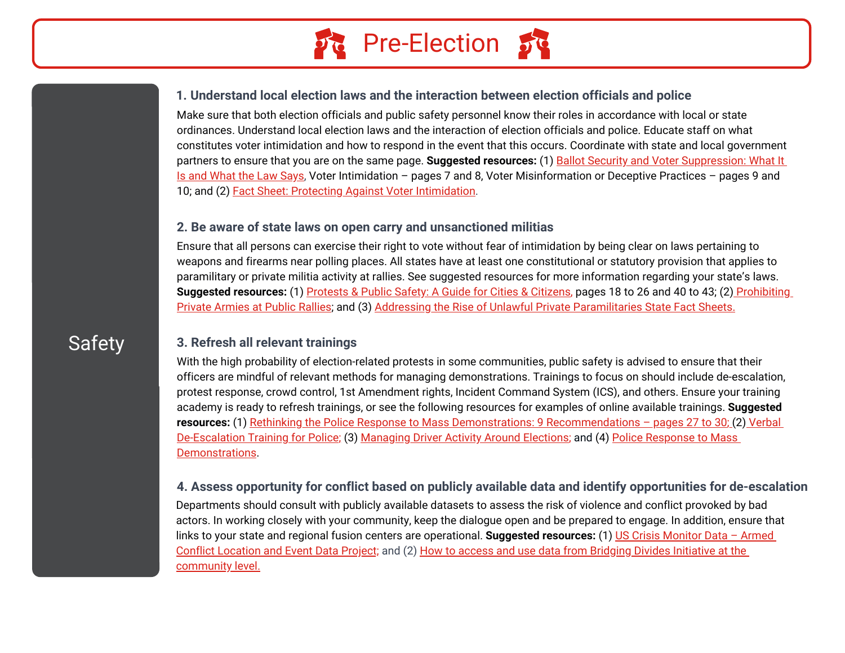

#### **1. Understand local election laws and the interaction between election officials and police**

Make sure that both election officials and public safety personnel know their roles in accordance with local or state ordinances. Understand local election laws and the interaction of election officials and police. Educate staff on what constitutes voter intimidation and how to respond in the event that this occurs. Coordinate with state and local government partners to ensure that you are on the same page. **Suggested resources:** (1) Ballot Security and Voter Suppression: What It [Is and What the Law Says, Voter Intimidation – pages 7 and 8, Voter Misinformation or Deceptive Practices – pages 9 and](https://www.brennancenter.org/sites/default/files/2019-08/Report_Ballot_Security_Voter_Suppression.pdf)  10; and (2) [Fact Sheet: Protecting Against Voter Intimidation.](https://www.law.georgetown.edu/icap/wp-content/uploads/sites/32/2020/10/Voter-Intimidation-Fact-Sheet.pdf)

#### **2. Be aware of state laws on open carry and unsanctioned militias**

Ensure that all persons can exercise their right to vote without fear of intimidation by being clear on laws pertaining to weapons and firearms near polling places. All states have at least one constitutional or statutory provision that applies to paramilitary or private militia activity at rallies. See suggested resources for more information regarding your state's laws. **Suggested resources:** (1) [Protests & Public Safety: A Guide for Cities & Citizens,](https://constitutionalprotestguide.org/ICAP-Protest_and_Public_Safety-Toolkit-072720.pdf) pages 18 to 26 and 40 to 43; (2) Prohibiting [Private Armies at Public Rallies; and \(3\) Addressing the Rise of Unlawful Private Paramilitaries State Fact Sheets.](https://www.law.georgetown.edu/icap/wp-content/uploads/sites/32/2018/04/Prohibiting-Private-Armies-at-Public-Rallies.pdf)

# **Safety**

#### **3. Refresh all relevant trainings**

With the high probability of election-related protests in some communities, public safety is advised to ensure that their officers are mindful of relevant methods for managing demonstrations. Trainings to focus on should include de-escalation, protest response, crowd control, 1st Amendment rights, Incident Command System (ICS), and others. Ensure your training academy is ready to refresh trainings, or see the following resources for examples of online available trainings. **Suggested resources:** (1) [Rethinking the Police Response to Mass Demonstrations: 9 Recommendations – pages 27 to 30](https://www.hsdl.org/c/perf-mass-demonstrations/)[; \(2\) Verbal](https://protraining.com/?gclid=Cj0KCQjwqrb7BRDlARIsACwGad4bKhZiTgLkreOQBVoLHDRdaaPUL_UFKFaBWg_UZYAxYW4x6mP6eXgaAlNNEALw_wcB) [De-Escalation Training for Police; \(3\) Managing Driver Activity Around Elections; and](https://www.policeforum.org/assets/PoliceResponseMassDemonstrations.pdf) (4) Police Response to Mass Demonstrations.

#### **4. Assess opportunity for conflict based on publicly available data and identify opportunities for de-escalation**

Departments should consult with publicly available datasets to assess the risk of violence and conflict provoked by bad actors. In working closely with your community, keep the dialogue open and be prepared to engage. In addition, ensure that links to your state and regional fusion centers are operational. **Suggested resources:** (1) US Crisis Monitor Data – Armed Conflict Location and Event Data Project; [and \(2\) How to access and use data from Bridging Divides Initiative at the](https://acleddata.com/special-projects/us-crisis-monitor/) community level.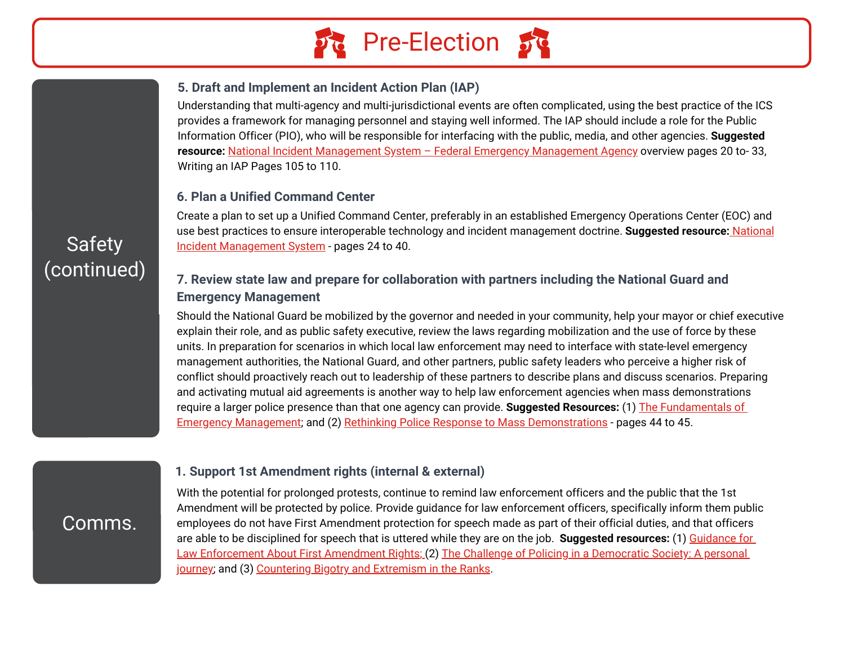

#### **5. Draft and Implement an Incident Action Plan (IAP)**

Understanding that multi-agency and multi-jurisdictional events are often complicated, using the best practice of the ICS provides a framework for managing personnel and staying well informed. The IAP should include a role for the Public Information Officer (PIO), who will be responsible for interfacing with the public, media, and other agencies. **Suggested resource:** [National Incident Management System – Federal Emergency Management Agency](https://www.fema.gov/sites/default/files/2020-07/fema_nims_doctrine-2017.pdf) overview pages 20 to- 33, Writing an IAP Pages 105 to 110.

#### **6. Plan a Unified Command Center**

Create a plan to set up a Unified Command Center, preferably in an established Emergency Operations Center (EOC) and use best practices to ensure interoperable technology and incident management doctrine. **Suggested resource:** [National](https://www.fema.gov/sites/default/files/2020-07/fema_nims_doctrine-2017.pdf) [Incident Management System](https://www.fema.gov/sites/default/files/2020-07/fema_nims_doctrine-2017.pdf) - pages 24 to 40.

# (continued) **7. Review state law and prepare for collaboration with partners including the National Guard and Emergency Management**

Should the National Guard be mobilized by the governor and needed in your community, help your mayor or chief executive explain their role, and as public safety executive, review the laws regarding mobilization and the use of force by these units. In preparation for scenarios in which local law enforcement may need to interface with state-level emergency management authorities, the National Guard, and other partners, public safety leaders who perceive a higher risk of conflict should proactively reach out to leadership of these partners to describe plans and discuss scenarios. Preparing and activating mutual aid agreements is another way to help law enforcement agencies when mass demonstrations require a larger police presence than that one agency can provide. **Suggested Resources:** (1) The Fundamentals of [Emergency Management; and \(2\) Rethinking Police Response to Mass Demonstrations - pages 44 to 45.](https://emilms.fema.gov/is_0230e/curriculum/1.html)

#### **1. Support 1st Amendment rights (internal & external)**

Comms.

With the potential for prolonged protests, continue to remind law enforcement officers and the public that the 1st Amendment will be protected by police. Provide guidance for law enforcement officers, specifically inform them public employees do not have First Amendment protection for speech made as part of their official duties, and that officers are able to be disciplined for speech that is uttered while they are on the job. **Suggested resources:** (1) Guidance for [Law Enforcement About First Amendment Rights; \(2\) The Challenge of Policing in a Democratic Society: A personal](https://www.cjinstitute.org/assets/sites/2/2020/12/Guidance-for-Law-Enforcement-About-First-Amendment-Rights.pdf) journey; and (3) [Countering Bigotry and Extremism in the Ranks.](https://www.law.georgetown.edu/icap/wp-content/uploads/sites/32/2022/04/2022.4.7.-Countering-Bigotry-and-Extremism-in-the-Ranks.pdf)

# Safety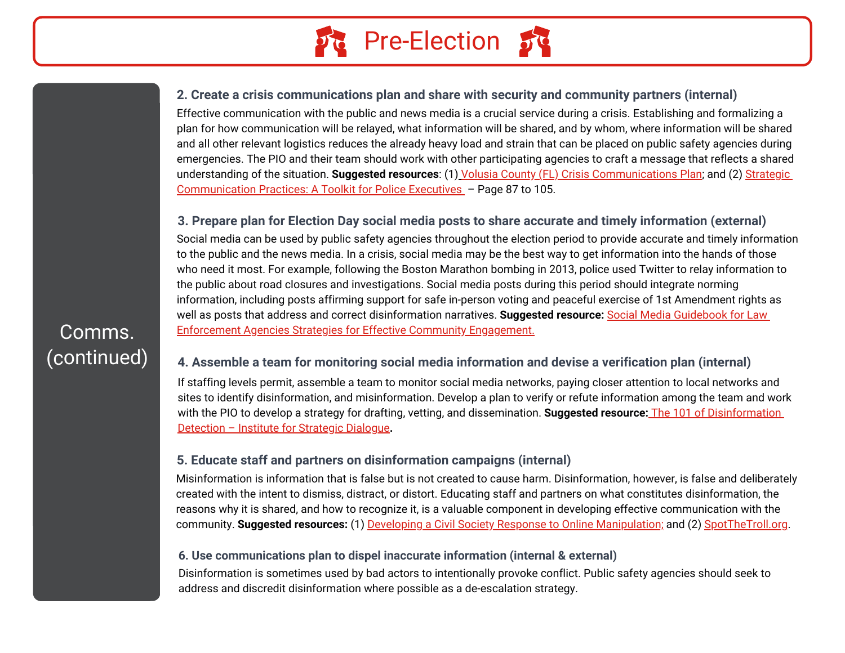

#### **2. Create a crisis communications plan and share with security and community partners (internal)**

Effective communication with the public and news media is a crucial service during a crisis. Establishing and formalizing a plan for how communication will be relayed, what information will be shared, and by whom, where information will be shared and all other relevant logistics reduces the already heavy load and strain that can be placed on public safety agencies during emergencies. The PIO and their team should work with other participating agencies to craft a message that reflects a shared understanding of the situation. **Suggested resources**: (1) [Volusia County \(FL\) Crisis Communications Plan](https://www.volusiasheriff.org/about/crisis.stml); and (2) Strategic [Communication Practices: A Toolkit for Police Executives – Page 87 to 105.](https://cops.usdoj.gov/RIC/Publications/cops-p222-pub.pdf)

#### **3. Prepare plan for Election Day social media posts to share accurate and timely information (external)**

Social media can be used by public safety agencies throughout the election period to provide accurate and timely information to the public and the news media. In a crisis, social media may be the best way to get information into the hands of those who need it most. For example, following the Boston Marathon bombing in 2013, police used Twitter to relay information to the public about road closures and investigations. Social media posts during this period should integrate norming information, including posts affirming support for safe in-person voting and peaceful exercise of 1st Amendment rights as well as posts that address and correct disinformation narratives. **Suggested resource:** Social Media Guidebook for Law [Enforcement Agencies Strategies for Effective Community Engagement.](https://www.ncjrs.gov/pdffiles1/nij/244760.pdf)

#### **4. Assemble a team for monitoring social media information and devise a verification plan (internal)**

If staffing levels permit, assemble a team to monitor social media networks, paying closer attention to local networks and sites to identify disinformation, and misinformation. Develop a plan to verify or refute information among the team and work [with the PIO to develop a strategy for drafting, vetting, and dissemination.](https://www.isdglobal.org/wp-content/uploads/2020/08/isd_101.pdf) **Suggested resource:** The 101 of Disinformation Detection – Institute for Strategic Dialogue**.**

#### **5. Educate staff and partners on disinformation campaigns (internal)**

Misinformation is information that is false but is not created to cause harm. Disinformation, however, is false and deliberately created with the intent to dismiss, distract, or distort. Educating staff and partners on what constitutes disinformation, the reasons why it is shared, and how to recognize it, is a valuable component in developing effective communication with the community. **Suggested resources:** (1) [Developing a Civil Society Response to Online Manipulation;](https://www.isdglobal.org/wp-content/uploads/2020/08/isd_201.pdf) and (2) [SpotTheTroll.org.](https://spotthetroll.org/)

#### **6. Use communications plan to dispel inaccurate information (internal & external)**

Disinformation is sometimes used by bad actors to intentionally provoke conflict. Public safety agencies should seek to address and discredit disinformation where possible as a de-escalation strategy.

Comms. (continued)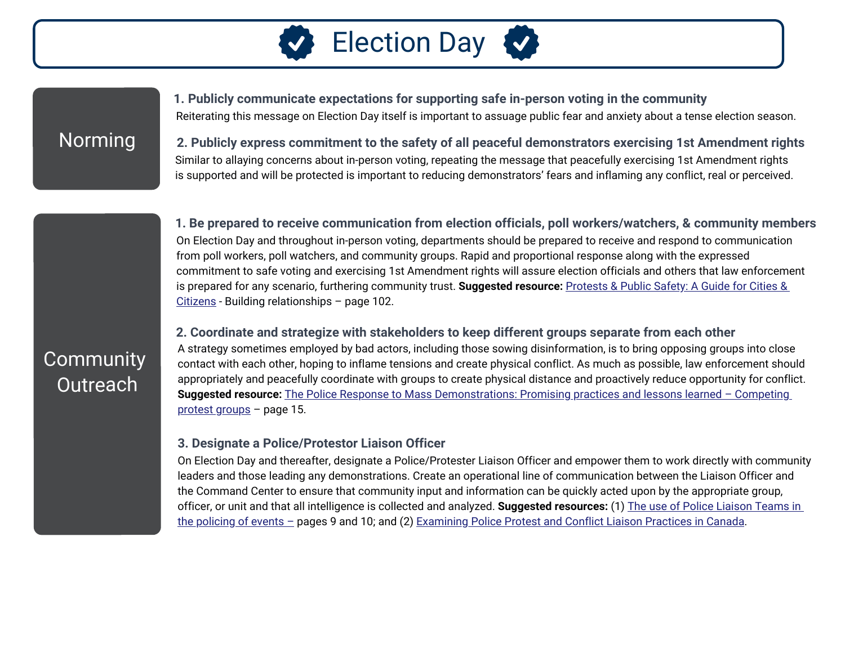

Norming

Reiterating this message on Election Day itself is important to assuage public fear and anxiety about a tense election season. **1. Publicly communicate expectations for supporting safe in-person voting in the community**

**2. Publicly express commitment to the safety of all peaceful demonstrators exercising 1st Amendment rights**  Similar to allaying concerns about in-person voting, repeating the message that peacefully exercising 1st Amendment rights is supported and will be protected is important to reducing demonstrators' fears and inflaming any conflict, real or perceived.

**1. Be prepared to receive communication from election officials, poll workers/watchers, & community members** On Election Day and throughout in-person voting, departments should be prepared to receive and respond to communication from poll workers, poll watchers, and community groups. Rapid and proportional response along with the expressed commitment to safe voting and exercising 1st Amendment rights will assure election officials and others that law enforcement [is prepared for any scenario, furthering community trust.](https://constitutionalprotestguide.org/ICAP-Protest_and_Public_Safety-Toolkit-072720.pdf) **Suggested resource:** Protests & Public Safety: A Guide for Cities & Citizens - Building relationships – page 102.

#### **2. Coordinate and strategize with stakeholders to keep different groups separate from each other**

A strategy sometimes employed by bad actors, including those sowing disinformation, is to bring opposing groups into close contact with each other, hoping to inflame tensions and create physical conflict. As much as possible, law enforcement should appropriately and peacefully coordinate with groups to create physical distance and proactively reduce opportunity for conflict. **Suggested resource:** [The Police Response to Mass Demonstrations: Promising practices and lessons learned –](https://www.policeforum.org/assets/PoliceResponseMassDemonstrations.pdf) Competing protest groups – page 15.

#### **3. Designate a Police/Protestor Liaison Officer**

On Election Day and thereafter, designate a Police/Protester Liaison Officer and empower them to work directly with community leaders and those leading any demonstrations. Create an operational line of communication between the Liaison Officer and the Command Center to ensure that community input and information can be quickly acted upon by the appropriate group, officer, or unit and that all intelligence is collected and analyzed. **Suggested resources:** (1) The use of Police Liaison Teams in the policing of events - pages 9 and 10; and (2) Examining Police Protest and Conflict Liaison Practices in Canada.

# **Community** Outreach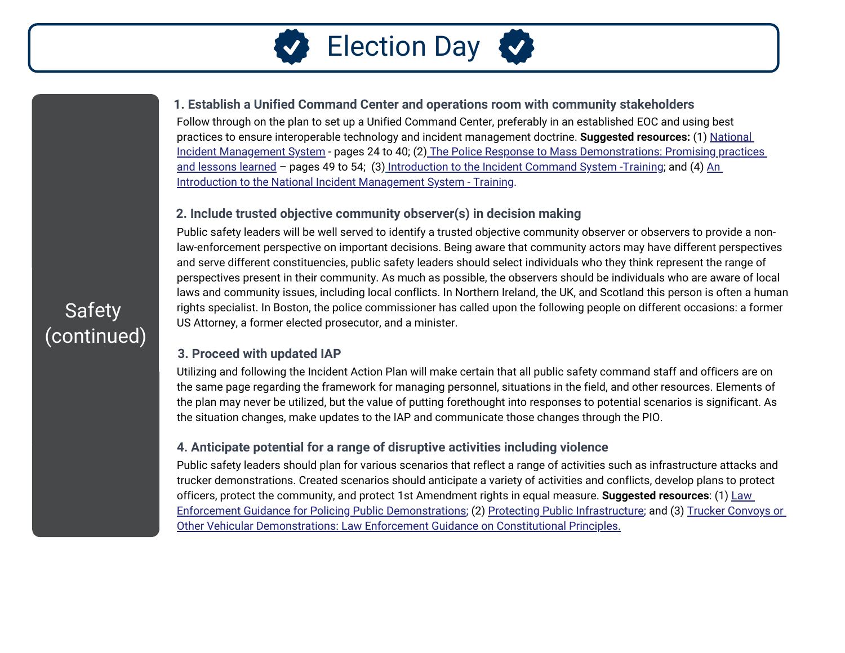

#### **1. Establish a Unified Command Center and operations room with community stakeholders**

Follow through on the plan to set up a Unified Command Center, preferably in an established EOC and using best practices to ensure interoperable technology and incident management doctrine. **Suggested resources:** (1) National [Incident Management System - pages 24 to 40; \(2\) The Police Response to Mass Demonstrations: Promising practices](https://www.policeforum.org/assets/PoliceResponseMassDemonstrations.pdf) and lessons learned – pages 49 to 54; (3) [Introduction to the Incident Command System -Training;](https://training.fema.gov/is/courseoverview.aspx?code=IS-100.c) and (4) An [Introduction to the National Incident Management System - Training.](https://training.fema.gov/is/courseoverview.aspx?code=IS-700.b)

#### **2. Include trusted objective community observer(s) in decision making**

Public safety leaders will be well served to identify a trusted objective community observer or observers to provide a nonlaw-enforcement perspective on important decisions. Being aware that community actors may have different perspectives and serve different constituencies, public safety leaders should select individuals who they think represent the range of perspectives present in their community. As much as possible, the observers should be individuals who are aware of local laws and community issues, including local conflicts. In Northern Ireland, the UK, and Scotland this person is often a human rights specialist. In Boston, the police commissioner has called upon the following people on different occasions: a former US Attorney, a former elected prosecutor, and a minister.

#### **3. Proceed with updated IAP**

Utilizing and following the Incident Action Plan will make certain that all public safety command staff and officers are on the same page regarding the framework for managing personnel, situations in the field, and other resources. Elements of the plan may never be utilized, but the value of putting forethought into responses to potential scenarios is significant. As the situation changes, make updates to the IAP and communicate those changes through the PIO.

#### **4. Anticipate potential for a range of disruptive activities including violence**

Public safety leaders should plan for various scenarios that reflect a range of activities such as infrastructure attacks and trucker demonstrations. Created scenarios should anticipate a variety of activities and conflicts, develop plans to protect officers, protect the community, and protect 1st Amendment rights in equal measure. **Suggested resources**: (1) Law [Enforcement Guidance for Policing Public Demonstrations; \(2\) Protecting Public Infrastructure; and \(3\) Trucker Convoys or](https://www.law.georgetown.edu/icap/wp-content/uploads/sites/32/2022/03/Legal-Guidance-on-Trucker-Convoys-or-Other-Vehicular-Demonstrations.pdf) Other Vehicular Demonstrations: Law Enforcement Guidance on Constitutional Principles.

# Safety (continued)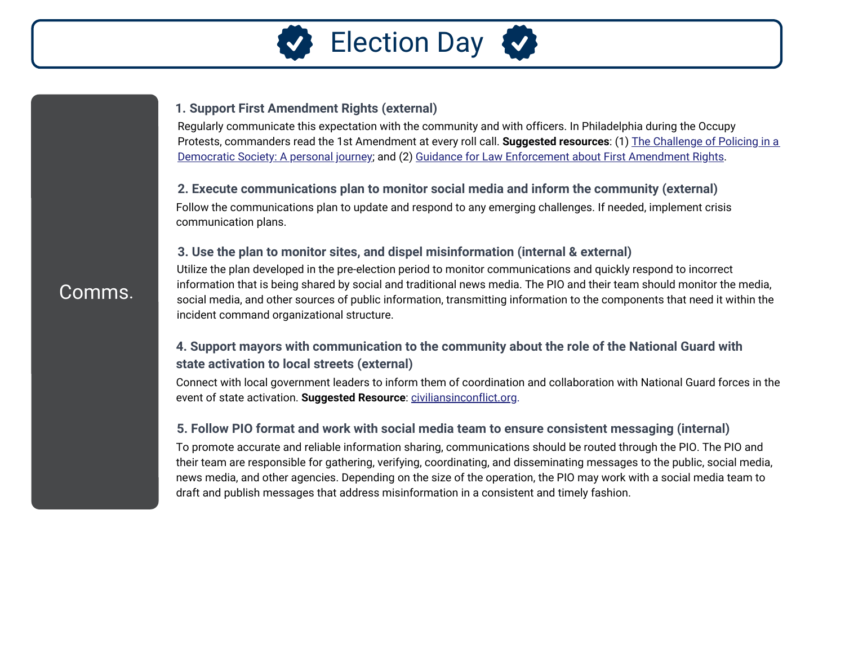

#### **1. Support First Amendment Rights (external)**

Regularly communicate this expectation with the community and with officers. In Philadelphia during the Occupy Protests, commanders read the 1st Amendment at every roll call. **Suggested resources**: (1) The Challenge of Policing in a [Democratic Society: A personal journey; and \(2\) Guidance for Law Enforcement about First Amendment Rights.](https://www.ncjrs.gov/pdffiles1/nij/245992.pdf)

#### **2. Execute communications plan to monitor social media and inform the community (external)**

Follow the communications plan to update and respond to any emerging challenges. If needed, implement crisis communication plans.

#### **3. Use the plan to monitor sites, and dispel misinformation (internal & external)**

Utilize the plan developed in the pre-election period to monitor communications and quickly respond to incorrect information that is being shared by social and traditional news media. The PIO and their team should monitor the media, social media, and other sources of public information, transmitting information to the components that need it within the incident command organizational structure.

#### **4. Support mayors with communication to the community about the role of the National Guard with state activation to local streets (external)**

Connect with local government leaders to inform them of coordination and collaboration with National Guard forces in the event of state activation. **Suggested Resource**: [civiliansinconflict.org](https://civiliansinconflict.org/wp-content/uploads/2020/06/National-Guard-Brief-Single-Page.pdf).

#### **5. Follow PIO format and work with social media team to ensure consistent messaging (internal)**

To promote accurate and reliable information sharing, communications should be routed through the PIO. The PIO and their team are responsible for gathering, verifying, coordinating, and disseminating messages to the public, social media, news media, and other agencies. Depending on the size of the operation, the PIO may work with a social media team to draft and publish messages that address misinformation in a consistent and timely fashion.

### Comms.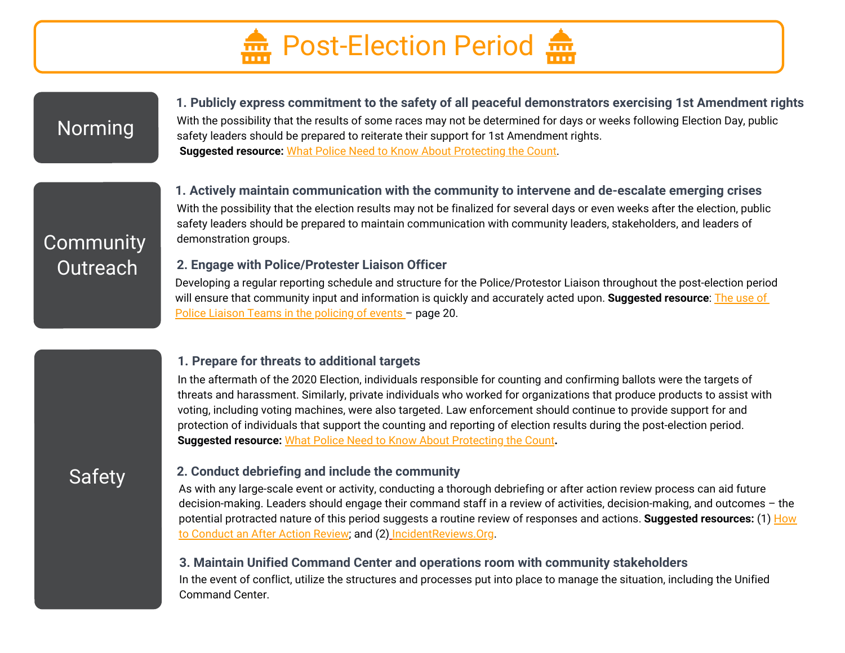

## Norming

With the possibility that the results of some races may not be determined for days or weeks following Election Day, public safety leaders should be prepared to reiterate their support for 1st Amendment rights. **Suggested resource:** [What Police Need to Know About Protecting the Count](https://www.cjinstitute.org/assets/sites/2/2020/11/Voter-Protection-Program-Protecting-the-Count-Law-Enforcement-Guidance.pdf). **1. Publicly express commitment to the safety of all peaceful demonstrators exercising 1st Amendment rights**

## Community demonstration groups. Outreach

**1. Actively maintain communication with the community to intervene and de-escalate emerging crises**  With the possibility that the election results may not be finalized for several days or even weeks after the election, public safety leaders should be prepared to maintain communication with community leaders, stakeholders, and leaders of

#### **2. Engage with Police/Protester Liaison Officer**

Developing a regular reporting schedule and structure for the Police/Protestor Liaison throughout the post-election period [will ensure that community input and information is quickly and accurately acted upon.](http://library.college.police.uk/docs/college-of-policing/Use-of-police-liaison-teams-2015.pdf) **Suggested resource**: The use of Police Liaison Teams in the policing of events - page 20.

#### **1. Prepare for threats to additional targets**

In the aftermath of the 2020 Election, individuals responsible for counting and confirming ballots were the targets of threats and harassment. Similarly, private individuals who worked for organizations that produce products to assist with voting, including voting machines, were also targeted. Law enforcement should continue to provide support for and protection of individuals that support the counting and reporting of election results during the post-election period. **Suggested resource:** [What Police Need to Know About Protecting the Count](https://www.cjinstitute.org/assets/sites/2/2020/11/Voter-Protection-Program-Protecting-the-Count-Law-Enforcement-Guidance.pdf)**.**

# Safety

#### **2. Conduct debriefing and include the community**

As with any large-scale event or activity, conducting a thorough debriefing or after action review process can aid future decision-making. Leaders should engage their command staff in a review of activities, decision-making, and outcomes – the [potential protracted nature of this period suggests a routine review of responses and actions.](https://cops.usdoj.gov/RIC/Publications/cops-w0878-pub.pdf) **Suggested resources:** (1) How to Conduct an After Action Review; and (2) [IncidentReviews.Org.](http://incidentreviews.org/)

#### **3. Maintain Unified Command Center and operations room with community stakeholders**

In the event of conflict, utilize the structures and processes put into place to manage the situation, including the Unified Command Center.